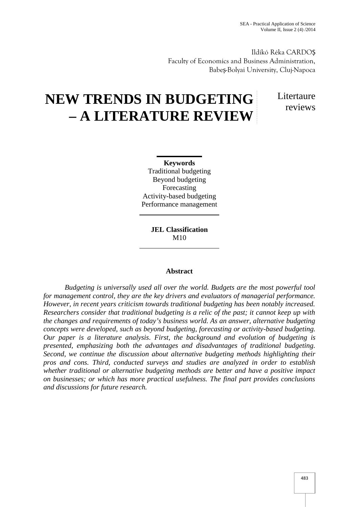Ildikó Réka CARDOȘ Faculty of Economics and Business Administration, Babe -Bolyai University, Cluj-Napoca

# **NEW TRENDS IN BUDGETING – A LITERATURE REVIEW**

**L**itertaure reviews

**Keywords** Traditional budgeting Beyond budgeting Forecasting Activity-based budgeting Performance management

> **JEL Classification** M10

## **Abstract**

*Budgeting is universally used all over the world. Budgets are the most powerful tool for management control, they are the key drivers and evaluators of managerial performance. However, in recent years criticism towards traditional budgeting has been notably increased. Researchers consider that traditional budgeting is a relic of the past; it cannot keep up with the changes and requirements of today's business world. As an answer, alternative budgeting concepts were developed, such as beyond budgeting, forecasting or activity-based budgeting. Our paper is a literature analysis. First, the background and evolution of budgeting is presented, emphasizing both the advantages and disadvantages of traditional budgeting. Second, we continue the discussion about alternative budgeting methods highlighting their pros and cons. Third, conducted surveys and studies are analyzed in order to establish whether traditional or alternative budgeting methods are better and have a positive impact on businesses; or which has more practical usefulness. The final part provides conclusions and discussions for future research.*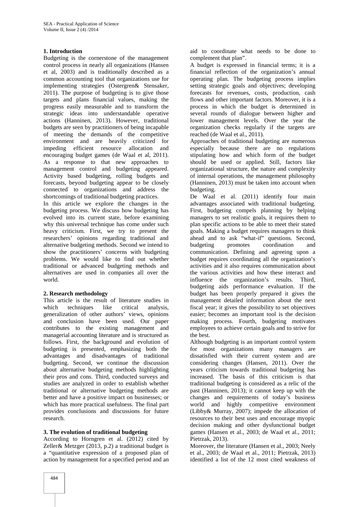## **1. Introduction**

Budgeting is the cornerstone of the management control process in nearly all organizations (Hansen et al, 2003) and is traditionally described as a common accounting tool that organizations use for implementing strategies (Ostergren& Stensaker, 2011). The purpose of budgeting is to give those targets and plans financial values, making the progress easily measurable and to transform the strategic ideas into understandable operative actions (Hanninen, 2013). However, traditional budgets are seen by practitioners of being incapable of meeting the demands of the competitive environment and are heavily criticized for impeding efficient resource allocation and encouraging budget games (de Waal et al, 2011). As a response to that new approaches to management control and budgeting appeared. Activity based budgeting, rolling budgets and forecasts, beyond budgeting appear to be closely connected to organizations and address the shortcomings of traditional budgeting practices.

In this article we explore the changes in the budgeting process. We discuss how budgeting has evolved into its current state, before examining why this universal technique has come under such heavy criticism. First, we try to present the researchers' opinions regarding traditional and alternative budgeting methods. Second we intend to show the practitioners' concerns with budgeting problems. We would like to find out whether traditional or advanced budgeting methods and alternatives are used in companies all over the world.

## **2. Research methodology**

This article is the result of literature studies in which techniques like critical analysis, generalization of other authors' views, opinions and conclusion have been used. Our paper contributes to the existing management and managerial accounting literature and is structured as follows. First, the background and evolution of budgeting is presented, emphasizing both the advantages and disadvantages of traditional budgeting. Second, we continue the discussion about alternative budgeting methods highlighting their pros and cons. Third, conducted surveys and studies are analyzed in order to establish whether traditional or alternative budgeting methods are better and have a positive impact on businesses; or which has more practical usefulness. The final part provides conclusions and discussions for future research.

## **3. The evolution of traditional budgeting**

According to Horngren et al. (2012) cited by Zeller& Metzger (2013, p.2) a traditional budget is a "quantitative expression of a proposed plan of action by management for a specified period and an

aid to coordinate what needs to be done to complement that plan".

A budget is expressed in financial terms; it is a financial reflection of the organization's annual operating plan. The budgeting process implies setting strategic goals and objectives; developing forecasts for revenues, costs, production, cash flows and other important factors. Moreover, it is a process in which the budget is determined in several rounds of dialogue between higher and lower management levels. Over the year the organization checks regularly if the targets are reached (de Waal et al., 2011).

Approaches of traditional budgeting are numerous especially because there are no regulations stipulating how and which form of the budget should be used or applied. Still, factors like organizational structure, the nature and complexity of internal operations, the management philosophy (Hanninen, 2013) must be taken into account when budgeting.

De Waal et al. (2011) identify four main advantages associated with traditional budgeting. First, budgeting compels planning by helping managers to set realistic goals, it requires them to plan specific actions to be able to meet their stated goals. Making a budget requires managers to think ahead and to ask "what-if" questions. Second, promotes coordination and communication. Defining and agreeing upon a budget requires coordinating all the organization's activities and it also requires communication about the various activities and how these interact and influence the organization's results. Third, budgeting aids performance evaluation. If the budget has been properly prepared it gives the management detailed information about the next fiscal year; it gives the possibility to set objectives easier; becomes an important tool is the decision making process. Fourth, budgeting motivates employees to achieve certain goals and to strive for the best.

Although budgeting is an important control system for most organizations many managers are dissatisfied with their current system and are considering changes (Hansen, 2011). Over the years criticism towards traditional budgeting has increased. The basis of this criticism is that traditional budgeting is considered as a relic of the past (Hanninen, 2013); it cannot keep up with the changes and requirements of today's business world and highly competitive environment (Libby& Murray, 2007); impede the allocation of resources to their best uses and encourage myopic decision making and other dysfunctional budget games (Hansen et al., 2003; de Waal et al., 2011; Pietrzak, 2013).

Moreover, the literature (Hansen et al., 2003; Neely et al., 2003; de Waal et al., 2011; Pietrzak, 2013) identified a list of the 12 most cited weakness of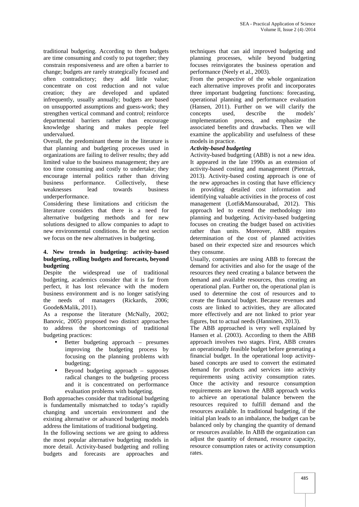traditional budgeting. According to them budgets are time consuming and costly to put together; they constrain responsiveness and are often a barrier to change; budgets are rarely strategically focused and often contradictory; they add little value; concentrate on cost reduction and not value creation; they are developed and updated infrequently, usually annually; budgets are based on unsupported assumptions and guess-work; they strengthen vertical command and control; reinforce departmental barriers rather than encourage knowledge sharing and makes people feel undervalued.

Overall, the predominant theme in the literature is that planning and budgeting processes used in organizations are failing to deliver results; they add limited value to the business management; they are too time consuming and costly to undertake; they encourage internal politics rather than driving business performance. Collectively, these<br>weaknesses lead towards business weaknesses underperformance.

Considering these limitations and criticism the literature considers that there is a need for alternative budgeting methods and for new solutions designed to allow companies to adapt to new environmental conditions. In the next section we focus on the new alternatives in budgeting.

#### **4. New trends in budgeting: activity-based budgeting, rolling budgets and forecasts, beyond budgeting**

Despite the widespread use of traditional budgeting, academics consider that it is far from perfect, it has lost relevance with the modern business environment and is no longer satisfying the needs of managers (Rickards, 2006; Goode&Malik, 2011).

As a response the literature (McNally, 2002; Banovic, 2005) proposed two distinct approaches to address the shortcomings of traditional budgeting practices:

- Better budgeting approach presumes improving the budgeting process by focusing on the planning problems with budgeting;
- Beyond budgeting approach supposes radical changes to the budgeting process and it is concentrated on performance evaluation problems with budgeting.

Both approaches consider that traditional budgeting is fundamentally mismatched to today's rapidly changing and uncertain environment and the existing alternative or advanced budgeting models address the limitations of traditional budgeting.

In the following sections we are going to address the most popular alternative budgeting models in more detail. Activity-based budgeting and rolling budgets and forecasts are approaches and

techniques that can aid improved budgeting and planning processes, while beyond budgeting focuses reinvigorates the business operation and performance (Neely et al., 2003).

From the perspective of the whole organization each alternative improves profit and incorporates three important budgeting functions: forecasting, operational planning and performance evaluation (Hansen, 2011). Further on we will clarify the concepts used, describe the models' implementation process, and emphasize the associated benefits and drawbacks. Then we will examine the applicability and usefulness of these models in practice.

## *Activity-based budgeting*

Activity-based budgeting (ABB) is not a new idea. It appeared in the late 1990s as an extension of activity-based costing and management (Pietrzak, 2013). Activity-based costing approach is one of the new approaches in costing that have efficiency in providing detailed cost information and identifying valuable activities in the process of cost management (Lotfi&Mansourabad, 2012). This approach led to extend the methodology into planning and budgeting. Activity-based budgeting focuses on creating the budget based on activities rather than units. Moreover, ABB requires determination of the cost of planned activities based on their expected size and resources which they consume.

Usually, companies are using ABB to forecast the demand for activities and also for the usage of the resources they need creating a balance between the demand and available resources, thus creating an operational plan. Further on, the operational plan is used to determine the cost of resources and to create the financial budget. Because revenues and costs are linked to activities, they are allocated more effectively and are not linked to prior year figures, but to actual needs (Hanninen, 2013).

The ABB approached is very well explained by Hansen et al. (2003). According to them the ABB approach involves two stages. First, ABB creates an operationally feasible budget before generating a financial budget. In the operational loop activity based concepts are used to convert the estimated demand for products and services into activity requirements using activity consumption rates. Once the activity and resource consumption requirements are known the ABB approach works to achieve an operational balance between the resources required to fulfill demand and the resources available. In traditional budgeting, if the initial plan leads to an imbalance, the budget can be balanced only by changing the quantity of demand or resources available. In ABB the organization can adjust the quantity of demand, resource capacity, resource consumption rates or activity consumption rates.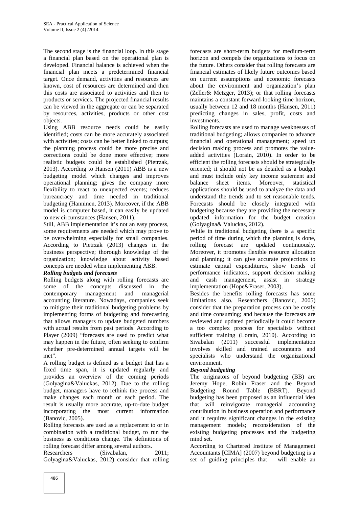The second stage is the financial loop. In this stage a financial plan based on the operational plan is developed. Financial balance is achieved when the financial plan meets a predetermined financial target. Once demand, activities and resources are known, cost of resources are determined and then this costs are associated to activities and then to products or services. The projected financial results can be viewed in the aggregate or can be separated by resources, activities, products or other cost objects.

Using ABB resource needs could be easily identified; costs can be more accurately associated with activities; costs can be better linked to outputs; the planning process could be more precise and corrections could be done more effective; more realistic budgets could be established (Pietrzak, 2013). According to Hansen (2011) ABB is a new budgeting model which changes and improves operational planning; gives the company more flexibility to react to unexpected events; reduces bureaucracy and time needed in traditional budgeting (Hanninen, 2013). Moreover, if the ABB model is computer based, it can easily be updated to new circumstances (Hansen, 2011).

Still, ABB implementation it's not an easy process, some requirements are needed which may prove to be overwhelming especially for small companies. According to Pietrzak (2013) changes in the business perspective; thorough knowledge of the organization; knowledge about activity based concepts are needed when implementing ABB.

## *Rolling budgets and forecasts*

Rolling budgets along with rolling forecasts are some of the concepts discussed in the contemporary management and managerial accounting literature. Nowadays, companies seek to mitigate their traditional budgeting problems by implementing forms of budgeting and forecasting that allows managers to update budgeted numbers with actual results from past periods. According to Player (2009) "forecasts are used to predict what may happen in the future, often seeking to confirm whether pre-determined annual targets will be met".

A rolling budget is defined as a budget that has a fixed time span, it is updated regularly and provides an overview of the coming periods (Golyagina&Valuckas, 2012). Due to the rolling budget, managers have to rethink the process and make changes each month or each period. The result is usually more accurate, up-to-date budget incorporating the most current information (Banovic, 2005).

Rolling forecasts are used as a replacement to or in combination with a traditional budget, to run the business as conditions change. The definitions of rolling forecast differ among several authors.

Researchers (Sivabalan, 2011; Golyagina&Valuckas, 2012) consider that rolling forecasts are short-term budgets for medium-term horizon and compels the organizations to focus on the future. Others consider that rolling forecasts are financial estimates of likely future outcomes based on current assumptions and economic forecasts about the environment and organization's plan (Zeller& Metzger, 2013); or that rolling forecasts maintains a constant forward-looking time horizon, usually between 12 and 18 months (Hansen, 2011) predicting changes in sales, profit, costs and investments.

Rolling forecasts are used to manage weaknesses of traditional budgeting; allows companies to advance financial and operational management; speed up decision making process and promotes the value added activities (Lorain, 2010). In order to be efficient the rolling forecasts should be strategically oriented; it should not be as detailed as a budget and must include only key income statement and balance sheet items. Moreover, statistical applications should be used to analyze the data and understand the trends and to set reasonable tends. Forecasts should be closely integrated with budgeting because they are providing the necessary updated information for the budget creation (Golyagina& Valuckas, 2012).

While in traditional budgeting there is a specific period of time during which the planning is done, rolling forecast are updated continuously. Moreover, it promotes flexible resource allocation and planning; it can give accurate projections to estimate capital expenditures, show trends of performance indicators, support decision making and cash management, assist in strategy implementation (Hope&Fraser, 2003).

Besides the benefits rolling forecasts has some limitations also. Researchers (Banovic, 2005) consider that the preparation process can be costly and time consuming; and because the forecasts are reviewed and updated periodically it could become a too complex process for specialists without sufficient training (Lorain, 2010). According to  $(2011)$  successful implementation involves skilled and trained accountants and specialists who understand the organizational environment.

## *Beyond budgeting*

The originators of beyond budgeting (BB) are Jeremy Hope, Robin Fraser and the Beyond Budgeting Round Table (BBRT). Beyond budgeting has been proposed as an influential idea that will reinvigorate managerial accounting contribution in business operation and performance and it requires significant changes in the existing management models; reconsideration of the existing budgeting processes and the budgeting mind set.

According to Chartered Institute of Management Accountants [CIMA] (2007) beyond budgeting is a set of guiding principles that will enable an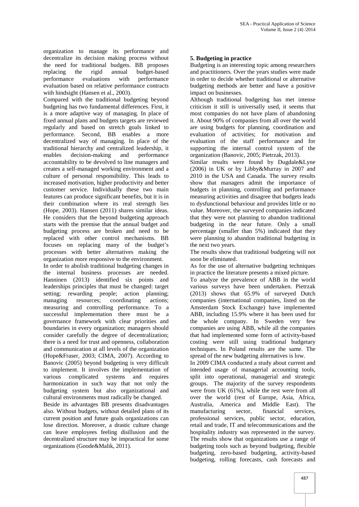organization to manage its performance and decentralize its decision making process without the need for traditional budgets. BB proposes replacing the rigid annual budget-based performance evaluations with performance evaluation based on relative performance contracts with hindsight (Hansen et al., 2003).

Compared with the traditional budgeting beyond budgeting has two fundamental differences. First, it is a more adaptive way of managing. In place of fixed annual plans and budgets targets are reviewed regularly and based on stretch goals linked to performance. Second, BB enables a more decentralized way of managing. In place of the traditional hierarchy and centralized leadership, it enables decision-making and performance accountability to be devolved to line managers and creates a self-managed working environment and a culture of personal responsibility. This leads to increased motivation, higher productivity and better customer service. Individually these two main features can produce significant benefits, but it is in their combination where its real strength lies (Hope, 2003). Hansen (2011) shares similar ideas. He considers that the beyond budgeting approach starts with the premise that the annual budget and budgeting process are broken and need to be replaced with other control mechanisms. BB focuses on replacing many of the budget's processes with better alternatives making the organization more responsive to the environment.

In order to abolish traditional budgeting changes in the internal business processes are needed. Hanninen (2013) identified six points and leaderships principles that must be changed: target setting; rewarding people; action planning; managing resources; coordinating actions; measuring and controlling performance. To a successful implementation there must be a governance framework with clear priorities and boundaries in every organization; managers should consider carefully the degree of decentralization; there is a need for trust and openness, collaboration and communication at all levels of the organization (Hope&Fraser, 2003; CIMA, 2007). According to Banovic (2005) beyond budgeting is very difficult to implement. It involves the implementation of various complicated systems and requires harmonization in such way that not only the budgeting system but also organizational and cultural environments must radically be changed.

Beside its advantages BB presents disadvantages also. Without budgets, without detailed plans of its current position and future goals organizations can lose direction. Moreover, a drastic culture change can leave employees feeling disillusion and the decentralized structure may be impractical for some organizations (Goode&Malik, 2011).

## **5. Budgeting in practice**

Budgeting is an interesting topic among researchers and practitioners. Over the years studies were made in order to decide whether traditional or alternative budgeting methods are better and have a positive impact on businesses.

Although traditional budgeting has met intense criticism it still is universally used, it seems that most companies do not have plans of abandoning it. About 90% of companies from all over the world are using budgets for planning, coordination and evaluation of activities; for motivation and evaluation of the staff performance and for supporting the internal control system of the organization (Banovic, 2005; Pietrzak, 2013).

Similar results were found by Dugdale&Lyne (2006) in UK or by Libby&Murray in 2007 and 2010 in the USA and Canada. The survey results show that managers admit the importance of budgets in planning, controlling and performance measuring activities and disagree that budgets leads to dysfunctional behaviour and provides little or no value. Moreover, the surveyed companies indicated that they were not planning to abandon traditional budgeting in the near future. Only a small percentage (smaller than 5%) indicated that they were planning to abandon traditional budgeting in the next two years.

The results show that traditional budgeting will not soon be eliminated.

As for the use of alternative budgeting techniques in practice the literature presents a mixed picture.

To analyze the prevalence of ABB in the world various surveys have been undertaken. Pietrzak (2013) shows that 65.9% of surveyed Dutch companies (international companies, listed on the Amsterdam Stock Exchange) have implemented ABB, including 15.9% where it has been used for the whole company. In Sweden very few companies are using ABB, while all the companies that had implemented some form of activity-based costing were still using traditional budgetary techniques. In Poland results are the same. The spread of the new budgeting alternatives is low.

In 2009 CIMA conducted a study about current and intended usage of managerial accounting tools, split into operational, managerial and strategic groups. The majority of the survey respondents were from UK (61%), while the rest were from all over the world (rest of Europe, Asia, Africa, Australia, America and Middle East). The manufacturing sector, financial services, professional services, public sector, education, retail and trade, IT and telecommunications and the hospitality industry was represented in the survey. The results show that organizations use a range of budgeting tools such as beyond budgeting, flexible budgeting, zero-based budgeting, activity-based budgeting, rolling forecasts, cash forecasts and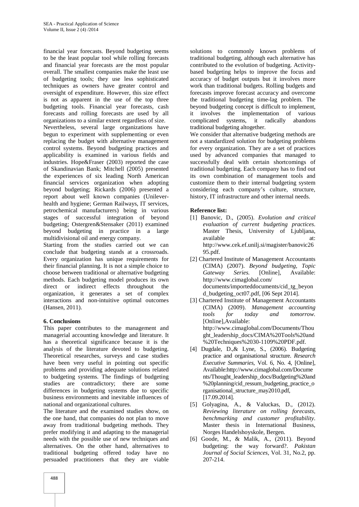financial year forecasts. Beyond budgeting seems to be the least popular tool while rolling forecasts and financial year forecasts are the most popular overall. The smallest companies make the least use of budgeting tools; they use less sophisticated techniques as owners have greater control and oversight of expenditure. However, this size effect is not as apparent in the use of the top three budgeting tools. Financial year forecasts, cash forecasts and rolling forecasts are used by all organizations to a similar extent regardless of size.

Nevertheless, several large organizations have begun to experiment with supplementing or even replacing the budget with alternative management control systems. Beyond budgeting practices and applicability is examined in various fields and industries. Hope&Fraser (2003) reported the case of Skandinavian Bank; Mitchell (2005) presented the experiences of six leading North American financial services organization when adopting beyond budgeting; Rickards (2006) presented a report about well known companies (Unilever health and hygiene; German Railways, IT services, petrochemical manufacturers) being in various stages of successful integration of beyond budgeting; Ostergren&Stensaker (2011) examined beyond budgeting in practice in a large multidivisional oil and energy company.

Starting from the studies carried out we can conclude that budgeting stands at a crossroads. Every organization has unique requirements for their financial planning. It is not a simple choice to choose between traditional or alternative budgeting methods. Each budgeting model produces its own direct or indirect effects throughout the organization, it generates a set of complex interactions and non-intuitive optimal outcomes (Hansen, 2011).

## **6. Conclusions**

This paper contributes to the management and managerial accounting knowledge and literature. It has a theoretical significance because it is the analysis of the literature devoted to budgeting. Theoretical researches, surveys and case studies have been very useful in pointing out specific problems and providing adequate solutions related to budgeting systems. The findings of budgeting studies are contradictory; there are some differences in budgeting systems due to specific business environments and inevitable influences of national and organizational cultures.

The literature and the examined studies show, on the one hand, that companies do not plan to move away from traditional budgeting methods. They prefer modifying it and adapting to the managerial needs with the possible use of new techniques and alternatives. On the other hand, alternatives to traditional budgeting offered today have no persuaded practitioners that they are viable

solutions to commonly known problems of traditional budgeting, although each alternative has contributed to the evolution of budgeting. Activity based budgeting helps to improve the focus and accuracy of budget outputs but it involves more work than traditional budgets. Rolling budgets and forecasts improve forecast accuracy and overcome the traditional budgeting time-lag problem. The beyond budgeting concept is difficult to implement, it involves the implementation of various complicated systems, it radically abandons traditional budgeting altogether.

We consider that alternative budgeting methods are not a standardized solution for budgeting problems for every organization. They are a set of practices used by advanced companies that managed to successfully deal with certain shortcomings of traditional budgeting. Each company has to find out its own combination of management tools and customize them to their internal budgeting system considering each company's culture, structure, history, IT infrastructure and other internal needs.

## **Reference list:**

- [1] Banovic, D., (2005). *Evolution and critical evaluation of current budgeting practices*. Master Thesis, University of Ljubljana, available at: and at: http://www.cek.ef.unilj.si/magister/banovic26 95.pdf.
- [2] Chartered Institute of Management Accountants (CIMA) (2007). *Beyond budgeting, Topic Gateway Series.* [Online], Available: http://www.cimaglobal.com/ documents/importeddocuments/cid\_tg\_beyon d\_budgeting\_oct07.pdf,  $[06$  Sept 2014].
- [3] Chartered Institute of Management Accountants (CIMA) (2009). *Management accounting tools for today and tomorrow.* [Online],Available: http://www.cimaglobal.com/Documents/Thou ght\_leadership\_docs/CIMA%20Tools%20and %20Techniques%2030-1109%20PDF.pdf.
- [4] Dugdale, D.,& Lyne, S., (2006). Budgeting practice and organisational structure. *Research Executive Summaries*, Vol. 6, No. 4, [Online], Available:http://www.cimaglobal.com/Docume nts/Thought\_leadership\_docs/Budgeting%20and %20planning/cid\_ressum\_budgeting\_practice\_o rganisational\_structure\_may2010.pdf, [17.09.2014].
- [5] Golyagina, A., & Valuckas, D., (2012). *Reviewing literature on rolling forecasts, benchmarking and customer profitability*. Master thesis in International Business, Norges Handelshoyskole, Bergen.
- [6] Goode, M., & Malik, A., (2011). Beyond budgeting: the way forward?. *Pakistan Journal of Social Sciences*, Vol. 31, No.2, pp. 207-214.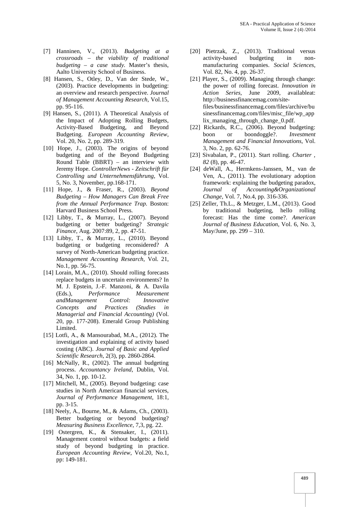- [7] Hanninen, V., (2013). *Budgeting at a crossroads – the viability of traditional budgeting – a case study.* Master's thesis, Aalto University School of Business.
- [8] Hansen, S., Otley, D., Van der Stede, W., (2003). Practice developments in budgeting: an overview and research perspective. *Journal of Management Accounting Research*, Vol.15, pp. 95-116.
- [9] Hansen, S., (2011). A Theoretical Analysis of the Impact of Adopting Rolling Budgets, Activity-Based Budgeting, and Beyond Budgeting. *European Accounting Review*, Vol. 20, No. 2, pp. 289-319.
- [10] Hope, J., (2003). The origins of beyond budgeting and of the Beyond Budgeting Round Table (BBRT) – an interview with Jeremy Hope. *ControllerNews - Zeitschrift für Controlling und Unternehmensführung*, Vol. 5, No. 3, November, pp.168-171.
- [11] Hope, J., & Fraser, R., (2003). *Beyond Budgeting – How Managers Can Break Free from the Annual Performance Trap.* Boston: Harvard Business School Press.
- [12] Libby, T., & Murray, L., (2007). Beyond budgeting or better budgeting? *Strategic Finance*, Aug. 2007:89, 2, pp. 47-51.
- [13] Libby, T., & Murray, L., (2010). Beyond budgeting or budgeting reconsidered? A survey of North-American budgeting practice. *Management Accounting Research*, Vol. 21, No.1, pp. 56-75.
- [14] Lorain, M.A., (2010). Should rolling forecasts replace budgets in uncertain environments? In M. J. Epstein, J.-F. Manzoni, & A. Davila (Eds.), *Performance Measurement andManagement Control: Innovative Concepts and Practices (Studies in Managerial and Financial Accounting)* (Vol. 20, pp. 177-208). Emerald Group Publishing Limited.
- [15] Lotfi, A., & Mansourabad, M.A., (2012). The investigation and explaining of activity based costing (ABC). *Journal of Basic and Applied Scientific Research*, 2(3), pp. 2860-2864.
- [16] McNally, R., (2002). The annual budgeting process. *Accountancy Ireland*, Dublin, Vol. 34, No. 1, pp. 10-12.
- [17] Mitchell, M., (2005). Beyond budgeting: case studies in North American financial services, *Journal of Performance Management*, 18:1, pp. 3-15.
- [18] Neely, A., Bourne, M., & Adams, Ch., (2003). Better budgeting or beyond budgeting? *Measuring Business Excellence*, 7,3, pg. 22.
- [19] Ostergren, K., & Stensaker, I., (2011). Management control without budgets: a field study of beyond budgeting in practice. *European Accounting Review*, Vol.20, No.1, pp: 149-181.
- [20] Pietrzak, Z., (2013). Traditional versus activity-based budgeting in non manufacturing companies. *Social Sciences*, Vol. 82, No. 4, pp. 26-37.
- [21] Player, S., (2009). Managing through change: the power of rolling forecast. *Innovation in Action Series*, June 2009, availableat: http://businessfinancemag.com/sitefiles/businessfinancemag.com/files/archive/bu sinessfinancemag.com/files/misc\_file/wp\_app lix\_managing\_through\_change\_0.pdf.
- [22] Rickards, R.C., (2006). Beyond budgeting: boon or boondoggle?. *Investment Management and Financial Innovations*, Vol. 3, No. 2, pp. 62-76.
- [23] Sivabalan, P., (2011). Start rolling. *Charter , 82* (8), pp. 46-47.
- [24] deWall, A., Hermkens-Janssen, M., van de Ven, A., (2011). The evolutionary adoption framework: explaining the budgeting paradox, *Journal of Accounting&Organizational Change*, Vol. 7, No.4, pp. 316-336.
- [25] Zeller, Th.L., & Metzger, L.M., (2013). Good by traditional budgeting, hello rolling forecast: Has the time come?. *American Journal of Business Education*, Vol. 6, No. 3, May/June, pp. 299 – 310.